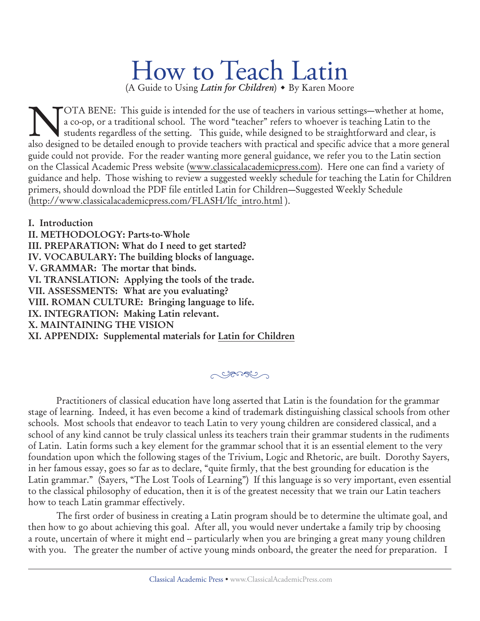# How to Teach Latin

(A Guide to Using *Latin for Children*) • By Karen Moore

NOTA BENE: This guide is intended for the use of teachers in various settings—whether at home,<br>a co-op, or a traditional school. The word "teacher" refers to whoever is teaching Latin to the<br>students regardless of the sett a co-op, or a traditional school. The word "teacher" refers to whoever is teaching Latin to the students regardless of the setting. This guide, while designed to be straightforward and clear, is also designed to be detailed enough to provide teachers with practical and specific advice that a more general guide could not provide. For the reader wanting more general guidance, we refer you to the Latin section on the Classical Academic Press website (www.classicalacademicpress.com). Here one can find a variety of guidance and help. Those wishing to review a suggested weekly schedule for teaching the Latin for Children primers, should download the PDF file entitled Latin for Children—Suggested Weekly Schedule (http://www.classicalacademicpress.com/FLASH/lfc\_intro.html ).

**I. Introduction II. METHODOLOGY: Parts-to-Whole III. PREPARATION: What do I need to get started? IV. VOCABULARY: The building blocks of language. V. GRAMMAR: The mortar that binds. VI. TRANSLATION: Applying the tools of the trade. VII. ASSESSMENTS: What are you evaluating? VIII. ROMAN CULTURE: Bringing language to life. IX. INTEGRATION: Making Latin relevant. X. MAINTAINING THE VISION XI. APPENDIX: Supplemental materials for Latin for Children**

## <u>egular v</u>

Practitioners of classical education have long asserted that Latin is the foundation for the grammar stage of learning. Indeed, it has even become a kind of trademark distinguishing classical schools from other schools. Most schools that endeavor to teach Latin to very young children are considered classical, and a school of any kind cannot be truly classical unless its teachers train their grammar students in the rudiments of Latin. Latin forms such a key element for the grammar school that it is an essential element to the very foundation upon which the following stages of the Trivium, Logic and Rhetoric, are built. Dorothy Sayers, in her famous essay, goes so far as to declare, "quite firmly, that the best grounding for education is the Latin grammar." (Sayers, "The Lost Tools of Learning") If this language is so very important, even essential to the classical philosophy of education, then it is of the greatest necessity that we train our Latin teachers how to teach Latin grammar effectively.

The first order of business in creating a Latin program should be to determine the ultimate goal, and then how to go about achieving this goal. After all, you would never undertake a family trip by choosing a route, uncertain of where it might end -- particularly when you are bringing a great many young children with you. The greater the number of active young minds onboard, the greater the need for preparation. I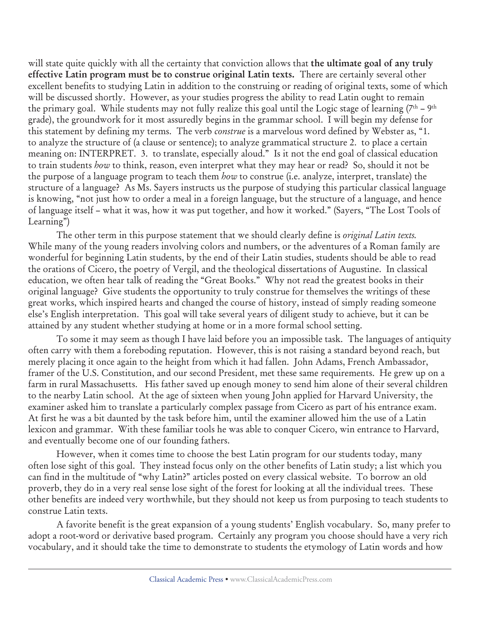will state quite quickly with all the certainty that conviction allows that **the ultimate goal of any truly effective Latin program must be to construe original Latin texts.** There are certainly several other excellent benefits to studying Latin in addition to the construing or reading of original texts, some of which will be discussed shortly. However, as your studies progress the ability to read Latin ought to remain the primary goal. While students may not fully realize this goal until the Logic stage of learning  $(7<sup>th</sup> - 9<sup>th</sup>)$ grade), the groundwork for it most assuredly begins in the grammar school. I will begin my defense for this statement by defining my terms. The verb *construe* is a marvelous word defined by Webster as, "1. to analyze the structure of (a clause or sentence); to analyze grammatical structure 2. to place a certain meaning on: INTERPRET. 3. to translate, especially aloud." Is it not the end goal of classical education to train students *how* to think, reason, even interpret what they may hear or read? So, should it not be the purpose of a language program to teach them *how* to construe (i.e. analyze, interpret, translate) the structure of a language? As Ms. Sayers instructs us the purpose of studying this particular classical language is knowing, "not just how to order a meal in a foreign language, but the structure of a language, and hence of language itself – what it was, how it was put together, and how it worked." (Sayers, "The Lost Tools of Learning")

The other term in this purpose statement that we should clearly define is *original Latin texts.* While many of the young readers involving colors and numbers, or the adventures of a Roman family are wonderful for beginning Latin students, by the end of their Latin studies, students should be able to read the orations of Cicero, the poetry of Vergil, and the theological dissertations of Augustine. In classical education, we often hear talk of reading the "Great Books." Why not read the greatest books in their original language? Give students the opportunity to truly construe for themselves the writings of these great works, which inspired hearts and changed the course of history, instead of simply reading someone else's English interpretation. This goal will take several years of diligent study to achieve, but it can be attained by any student whether studying at home or in a more formal school setting.

To some it may seem as though I have laid before you an impossible task. The languages of antiquity often carry with them a foreboding reputation. However, this is not raising a standard beyond reach, but merely placing it once again to the height from which it had fallen. John Adams, French Ambassador, framer of the U.S. Constitution, and our second President, met these same requirements. He grew up on a farm in rural Massachusetts. His father saved up enough money to send him alone of their several children to the nearby Latin school. At the age of sixteen when young John applied for Harvard University, the examiner asked him to translate a particularly complex passage from Cicero as part of his entrance exam. At first he was a bit daunted by the task before him, until the examiner allowed him the use of a Latin lexicon and grammar. With these familiar tools he was able to conquer Cicero, win entrance to Harvard, and eventually become one of our founding fathers.

However, when it comes time to choose the best Latin program for our students today, many often lose sight of this goal. They instead focus only on the other benefits of Latin study; a list which you can find in the multitude of "why Latin?" articles posted on every classical website. To borrow an old proverb, they do in a very real sense lose sight of the forest for looking at all the individual trees. These other benefits are indeed very worthwhile, but they should not keep us from purposing to teach students to construe Latin texts.

A favorite benefit is the great expansion of a young students' English vocabulary. So, many prefer to adopt a root-word or derivative based program. Certainly any program you choose should have a very rich vocabulary, and it should take the time to demonstrate to students the etymology of Latin words and how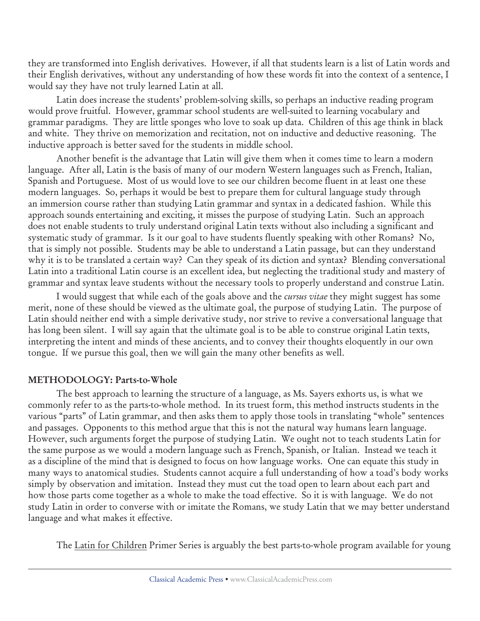they are transformed into English derivatives. However, if all that students learn is a list of Latin words and their English derivatives, without any understanding of how these words fit into the context of a sentence, I would say they have not truly learned Latin at all.

Latin does increase the students' problem-solving skills, so perhaps an inductive reading program would prove fruitful. However, grammar school students are well-suited to learning vocabulary and grammar paradigms. They are little sponges who love to soak up data. Children of this age think in black and white. They thrive on memorization and recitation, not on inductive and deductive reasoning. The inductive approach is better saved for the students in middle school.

Another benefit is the advantage that Latin will give them when it comes time to learn a modern language. After all, Latin is the basis of many of our modern Western languages such as French, Italian, Spanish and Portuguese. Most of us would love to see our children become fluent in at least one these modern languages. So, perhaps it would be best to prepare them for cultural language study through an immersion course rather than studying Latin grammar and syntax in a dedicated fashion. While this approach sounds entertaining and exciting, it misses the purpose of studying Latin. Such an approach does not enable students to truly understand original Latin texts without also including a significant and systematic study of grammar. Is it our goal to have students fluently speaking with other Romans? No, that is simply not possible. Students may be able to understand a Latin passage, but can they understand why it is to be translated a certain way? Can they speak of its diction and syntax? Blending conversational Latin into a traditional Latin course is an excellent idea, but neglecting the traditional study and mastery of grammar and syntax leave students without the necessary tools to properly understand and construe Latin.

I would suggest that while each of the goals above and the *cursus vitae* they might suggest has some merit, none of these should be viewed as the ultimate goal, the purpose of studying Latin. The purpose of Latin should neither end with a simple derivative study, nor strive to revive a conversational language that has long been silent. I will say again that the ultimate goal is to be able to construe original Latin texts, interpreting the intent and minds of these ancients, and to convey their thoughts eloquently in our own tongue. If we pursue this goal, then we will gain the many other benefits as well.

#### **METHODOLOGY: Parts-to-Whole**

The best approach to learning the structure of a language, as Ms. Sayers exhorts us, is what we commonly refer to as the parts-to-whole method. In its truest form, this method instructs students in the various "parts" of Latin grammar, and then asks them to apply those tools in translating "whole" sentences and passages. Opponents to this method argue that this is not the natural way humans learn language. However, such arguments forget the purpose of studying Latin. We ought not to teach students Latin for the same purpose as we would a modern language such as French, Spanish, or Italian. Instead we teach it as a discipline of the mind that is designed to focus on how language works. One can equate this study in many ways to anatomical studies. Students cannot acquire a full understanding of how a toad's body works simply by observation and imitation. Instead they must cut the toad open to learn about each part and how those parts come together as a whole to make the toad effective. So it is with language. We do not study Latin in order to converse with or imitate the Romans, we study Latin that we may better understand language and what makes it effective.

The Latin for Children Primer Series is arguably the best parts-to-whole program available for young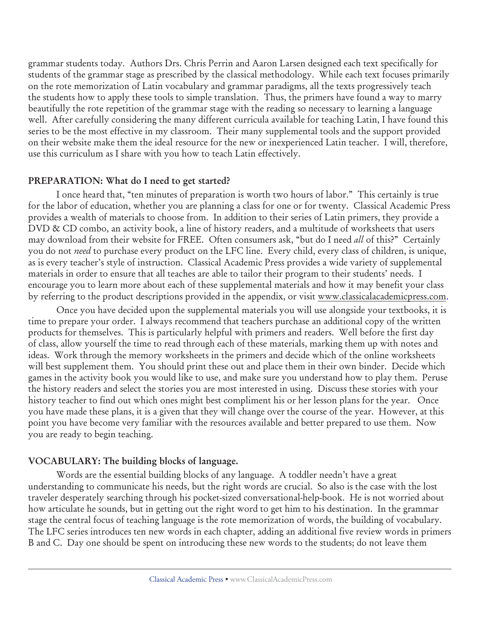grammar students today. Authors Drs. Chris Perrin and Aaron Larsen designed each text specifically for students of the grammar stage as prescribed by the classical methodology. While each text focuses primarily on the rote memorization of Latin vocabulary and grammar paradigms, all the texts progressively teach the students how to apply these tools to simple translation.Thus, the primers have found a way to marry beautifully the rote repetition of the grammar stage with the reading so necessary to learning a language well. After carefully considering the many different curricula available for teaching Latin, I have found this series to be the most effective in my classroom. Their many supplemental tools and the support provided on their website make them the ideal resource for the new or inexperienced Latin teacher. I will, therefore, use this curriculum as I share with you how to teach Latin effectively.

#### **PREPARATION: What do I need to get started?**

I once heard that, "ten minutes of preparation is worth two hours of labor." This certainly is true for the labor of education, whether you are planning a class for one or for twenty. Classical Academic Press provides a wealth of materials to choose from. In addition to their series of Latin primers, they provide a DVD & CD combo, an activity book, a line of history readers, and a multitude of worksheets that users may download from their website for FREE. Often consumers ask, "but do I need *all* of this?" Certainly you do not *need* to purchase every product on the LFC line. Every child, every class of children, is unique, as is every teacher's style of instruction. Classical Academic Press provides a wide variety of supplemental materials in order to ensure that all teaches are able to tailor their program to their students' needs. I encourage you to learn more about each of these supplemental materials and how it may benefit your class by referring to the product descriptions provided in the appendix, or visit www.classicalacademicpress.com.

Once you have decided upon the supplemental materials you will use alongside your textbooks, it is time to prepare your order. I always recommend that teachers purchase an additional copy of the written products for themselves. This is particularly helpful with primers and readers. Well before the first day of class, allow yourself the time to read through each of these materials, marking them up with notes and ideas. Work through the memory worksheets in the primers and decide which of the online worksheets will best supplement them. You should print these out and place them in their own binder. Decide which games in the activity book you would like to use, and make sure you understand how to play them. Peruse the history readers and select the stories you are most interested in using. Discuss these stories with your history teacher to find out which ones might best compliment his or her lesson plans for the year. Once you have made these plans, it is a given that they will change over the course of the year. However, at this point you have become very familiar with the resources available and better prepared to use them. Now you are ready to begin teaching.

## **VOCABULARY: The building blocks of language.**

Words are the essential building blocks of any language. A toddler needn't have a great understanding to communicate his needs, but the right words are crucial. So also is the case with the lost traveler desperately searching through his pocket-sized conversational-help-book. He is not worried about how articulate he sounds, but in getting out the right word to get him to his destination. In the grammar stage the central focus of teaching language is the rote memorization of words, the building of vocabulary. The LFC series introduces ten new words in each chapter, adding an additional five review words in primers B and C. Day one should be spent on introducing these new words to the students; do not leave them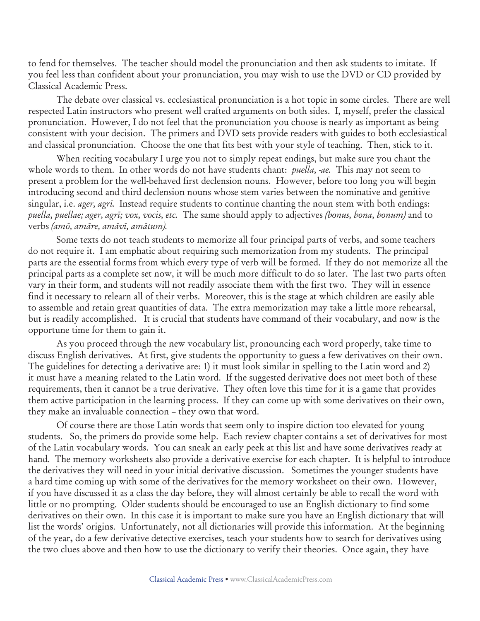to fend for themselves. The teacher should model the pronunciation and then ask students to imitate. If you feel less than confident about your pronunciation, you may wish to use the DVD or CD provided by Classical Academic Press.

The debate over classical vs. ecclesiastical pronunciation is a hot topic in some circles. There are well respected Latin instructors who present well crafted arguments on both sides. I, myself, prefer the classical pronunciation. However, I do not feel that the pronunciation you choose is nearly as important as being consistent with your decision. The primers and DVD sets provide readers with guides to both ecclesiastical and classical pronunciation. Choose the one that fits best with your style of teaching. Then, stick to it.

When reciting vocabulary I urge you not to simply repeat endings, but make sure you chant the whole words to them. In other words do not have students chant: *puella, -ae.* This may not seem to present a problem for the well-behaved first declension nouns. However, before too long you will begin introducing second and third declension nouns whose stem varies between the nominative and genitive singular, i.e. *ager, agrï.* Instead require students to continue chanting the noun stem with both endings: *puella, puellae; ager, agrï; vox, vocis, etc.* The same should apply to adjectives *(bonus, bona, bonum)* and to verbs *(amö, amäre, amävï, amätum).*

Some texts do not teach students to memorize all four principal parts of verbs, and some teachers do not require it. I am emphatic about requiring such memorization from my students. The principal parts are the essential forms from which every type of verb will be formed. If they do not memorize all the principal parts as a complete set now, it will be much more difficult to do so later. The last two parts often vary in their form, and students will not readily associate them with the first two. They will in essence find it necessary to relearn all of their verbs. Moreover, this is the stage at which children are easily able to assemble and retain great quantities of data. The extra memorization may take a little more rehearsal, but is readily accomplished. It is crucial that students have command of their vocabulary, and now is the opportune time for them to gain it.

As you proceed through the new vocabulary list, pronouncing each word properly, take time to discuss English derivatives. At first, give students the opportunity to guess a few derivatives on their own. The guidelines for detecting a derivative are: 1) it must look similar in spelling to the Latin word and 2) it must have a meaning related to the Latin word. If the suggested derivative does not meet both of these requirements, then it cannot be a true derivative. They often love this time for it is a game that provides them active participation in the learning process. If they can come up with some derivatives on their own, they make an invaluable connection – they own that word.

Of course there are those Latin words that seem only to inspire diction too elevated for young students. So, the primers do provide some help. Each review chapter contains a set of derivatives for most of the Latin vocabulary words. You can sneak an early peek at this list and have some derivatives ready at hand. The memory worksheets also provide a derivative exercise for each chapter. It is helpful to introduce the derivatives they will need in your initial derivative discussion. Sometimes the younger students have a hard time coming up with some of the derivatives for the memory worksheet on their own. However, if you have discussed it as a class the day before**,** they will almost certainly be able to recall the word with little or no prompting. Older students should be encouraged to use an English dictionary to find some derivatives on their own. In this case it is important to make sure you have an English dictionary that will list the words' origin**s**. Unfortunately, not all dictionaries will provide this information. At the beginning of the year**,** do a few derivative detective exercises, teach your students how to search for derivatives using the two clues above and then how to use the dictionary to verify their theories. Once again, they have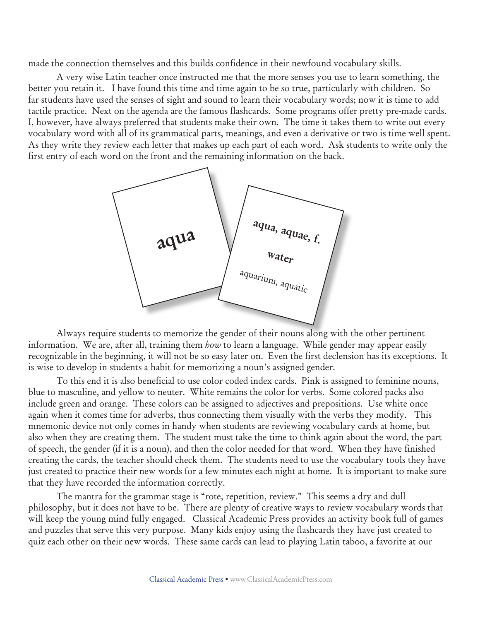made the connection themselves and this builds confidence in their newfound vocabulary skills.

A very wise Latin teacher once instructed me that the more senses you use to learn something, the better you retain it. I have found this time and time again to be so true, particularly with children. So far students have used the senses of sight and sound to learn their vocabulary words; now it is time to add tactile practice. Next on the agenda are the famous flashcards. Some programs offer pretty pre-made cards. I, however, have always preferred that students make their own. The time it takes them to write out every vocabulary word with all of its grammatical parts, meanings, and even a derivative or two is time well spent. As they write they review each letter that makes up each part of each word. Ask students to write only the first entry of each word on the front and the remaining information on the back.



Always require students to memorize the gender of their nouns along with the other pertinent information. We are, after all, training them *how* to learn a language. While gender may appear easily recognizable in the beginning, it will not be so easy later on. Even the first declension has its exceptions. It is wise to develop in students a habit for memorizing a noun's assigned gender.

To this end it is also beneficial to use color coded index cards. Pink is assigned to feminine nouns, blue to masculine, and yellow to neuter. White remains the color for verbs. Some colored packs also include green and orange. These colors can be assigned to adjectives and prepositions. Use white once again when it comes time for adverbs, thus connecting them visually with the verbs they modify. This mnemonic device not only comes in handy when students are reviewing vocabulary cards at home, but also when they are creating them. The student must take the time to think again about the word, the part of speech, the gender (if it is a noun), and then the color needed for that word. When they have finished creating the cards, the teacher should check them. The students need to use the vocabulary tools they have just created to practice their new words for a few minutes each night at home. It is important to make sure that they have recorded the information correctly.

The mantra for the grammar stage is "rote, repetition, review." This seems a dry and dull philosophy, but it does not have to be. There are plenty of creative ways to review vocabulary words that will keep the young mind fully engaged. Classical Academic Press provides an activity book full of games and puzzles that serve this very purpose. Many kids enjoy using the flashcards they have just created to quiz each other on their new words. These same cards can lead to playing Latin taboo, a favorite at our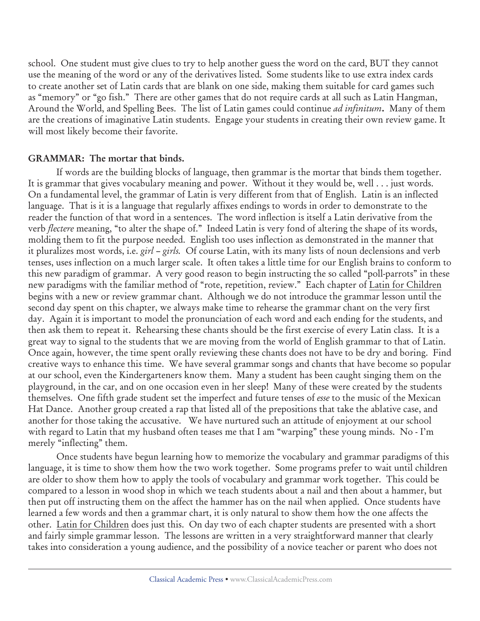school. One student must give clues to try to help another guess the word on the card, BUT they cannot use the meaning of the word or any of the derivatives listed. Some students like to use extra index cards to create another set of Latin cards that are blank on one side, making them suitable for card games such as "memory" or "go fish." There are other games that do not require cards at all such as Latin Hangman, Around the World, and Spelling Bees. The list of Latin games could continue *ad infinitum***.** Many of them are the creations of imaginative Latin students. Engage your students in creating their own review game. It will most likely become their favorite.

#### **GRAMMAR: The mortar that binds.**

If words are the building blocks of language, then grammar is the mortar that binds them together. It is grammar that gives vocabulary meaning and power. Without it they would be, well . . . just words. On a fundamental level, the grammar of Latin is very different from that of English. Latin is an inflected language. That is it is a language that regularly affixes endings to words in order to demonstrate to the reader the function of that word in a sentences. The word inflection is itself a Latin derivative from the verb *flectere* meaning, "to alter the shape of." Indeed Latin is very fond of altering the shape of its words, molding them to fit the purpose needed. English too uses inflection as demonstrated in the manner that it pluralizes most words, i.e. *girl – girls.* Of course Latin, with its many lists of noun declensions and verb tenses, uses inflection on a much larger scale. It often takes a little time for our English brains to conform to this new paradigm of grammar. A very good reason to begin instructing the so called "poll-parrots" in these new paradigms with the familiar method of "rote, repetition, review." Each chapter of Latin for Children begins with a new or review grammar chant. Although we do not introduce the grammar lesson until the second day spent on this chapter, we always make time to rehearse the grammar chant on the very first day. Again it is important to model the pronunciation of each word and each ending for the students, and then ask them to repeat it. Rehearsing these chants should be the first exercise of every Latin class. It is a great way to signal to the students that we are moving from the world of English grammar to that of Latin. Once again, however, the time spent orally reviewing these chants does not have to be dry and boring. Find creative ways to enhance this time. We have several grammar songs and chants that have become so popular at our school, even the Kindergarteners know them. Many a student has been caught singing them on the playground, in the car, and on one occasion even in her sleep! Many of these were created by the students themselves. One fifth grade student set the imperfect and future tenses of *esse* to the music of the Mexican Hat Dance. Another group created a rap that listed all of the prepositions that take the ablative case, and another for those taking the accusative. We have nurtured such an attitude of enjoyment at our school with regard to Latin that my husband often teases me that I am "warping" these young minds. No - I'm merely "inflecting" them.

Once students have begun learning how to memorize the vocabulary and grammar paradigms of this language, it is time to show them how the two work together. Some programs prefer to wait until children are older to show them how to apply the tools of vocabulary and grammar work together. This could be compared to a lesson in wood shop in which we teach students about a nail and then about a hammer, but then put off instructing them on the affect the hammer has on the nail when applied. Once students have learned a few words and then a grammar chart, it is only natural to show them how the one affects the other. Latin for Children does just this. On day two of each chapter students are presented with a short and fairly simple grammar lesson. The lessons are written in a very straightforward manner that clearly takes into consideration a young audience, and the possibility of a novice teacher or parent who does not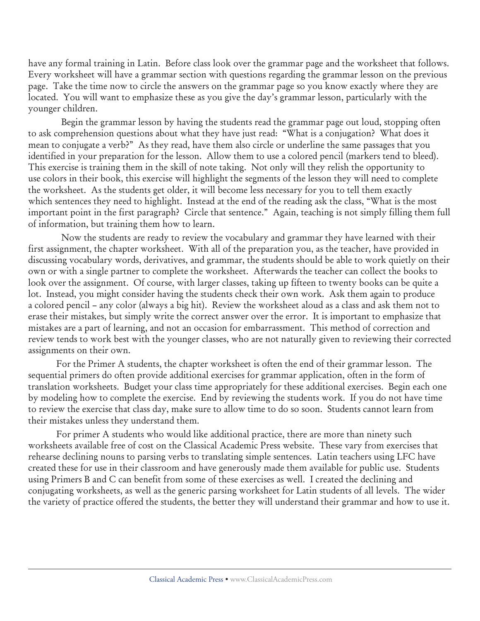have any formal training in Latin. Before class look over the grammar page and the worksheet that follows. Every worksheet will have a grammar section with questions regarding the grammar lesson on the previous page. Take the time now to circle the answers on the grammar page so you know exactly where they are located. You will want to emphasize these as you give the day's grammar lesson, particularly with the younger children.

 Begin the grammar lesson by having the students read the grammar page out loud, stopping often to ask comprehension questions about what they have just read: "What is a conjugation? What does it mean to conjugate a verb?" As they read, have them also circle or underline the same passages that you identified in your preparation for the lesson. Allow them to use a colored pencil (markers tend to bleed). This exercise is training them in the skill of note taking. Not only will they relish the opportunity to use colors in their book, this exercise will highlight the segments of the lesson they will need to complete the worksheet. As the students get older, it will become less necessary for you to tell them exactly which sentences they need to highlight. Instead at the end of the reading ask the class, "What is the most important point in the first paragraph? Circle that sentence." Again, teaching is not simply filling them full of information, but training them how to learn.

 Now the students are ready to review the vocabulary and grammar they have learned with their first assignment, the chapter worksheet. With all of the preparation you, as the teacher, have provided in discussing vocabulary words, derivatives, and grammar, the students should be able to work quietly on their own or with a single partner to complete the worksheet. Afterwards the teacher can collect the books to look over the assignment. Of course, with larger classes, taking up fifteen to twenty books can be quite a lot. Instead, you might consider having the students check their own work. Ask them again to produce a colored pencil – any color (always a big hit). Review the worksheet aloud as a class and ask them not to erase their mistakes, but simply write the correct answer over the error. It is important to emphasize that mistakes are a part of learning, and not an occasion for embarrassment. This method of correction and review tends to work best with the younger classes, who are not naturally given to reviewing their corrected assignments on their own.

For the Primer A students, the chapter worksheet is often the end of their grammar lesson. The sequential primers do often provide additional exercises for grammar application, often in the form of translation worksheets. Budget your class time appropriately for these additional exercises. Begin each one by modeling how to complete the exercise. End by reviewing the students work. If you do not have time to review the exercise that class day, make sure to allow time to do so soon. Students cannot learn from their mistakes unless they understand them.

For primer A students who would like additional practice, there are more than ninety such worksheets available free of cost on the Classical Academic Press website. These vary from exercises that rehearse declining nouns to parsing verbs to translating simple sentences. Latin teachers using LFC have created these for use in their classroom and have generously made them available for public use. Students using Primers B and C can benefit from some of these exercises as well. I created the declining and conjugating worksheets, as well as the generic parsing worksheet for Latin students of all levels. The wider the variety of practice offered the students, the better they will understand their grammar and how to use it.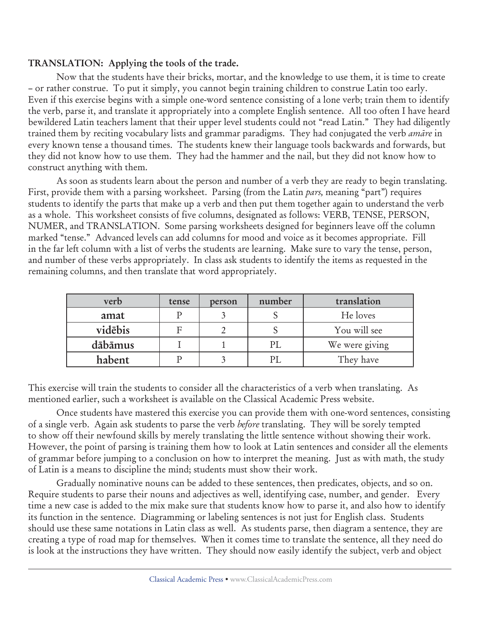#### **TRANSLATION: Applying the tools of the trade.**

Now that the students have their bricks, mortar, and the knowledge to use them, it is time to create – or rather construe. To put it simply, you cannot begin training children to construe Latin too early. Even if this exercise begins with a simple one-word sentence consisting of a lone verb; train them to identify the verb, parse it, and translate it appropriately into a complete English sentence. All too often I have heard bewildered Latin teachers lament that their upper level students could not "read Latin." They had diligently trained them by reciting vocabulary lists and grammar paradigms. They had conjugated the verb *amäre* in every known tense a thousand times. The students knew their language tools backwards and forwards, but they did not know how to use them. They had the hammer and the nail, but they did not know how to construct anything with them.

As soon as students learn about the person and number of a verb they are ready to begin translating. First, provide them with a parsing worksheet. Parsing (from the Latin *pars,* meaning "part") requires students to identify the parts that make up a verb and then put them together again to understand the verb as a whole. This worksheet consists of five columns, designated as follows: VERB, TENSE, PERSON, NUMER, and TRANSLATION. Some parsing worksheets designed for beginners leave off the column marked "tense." Advanced levels can add columns for mood and voice as it becomes appropriate. Fill in the far left column with a list of verbs the students are learning. Make sure to vary the tense, person, and number of these verbs appropriately. In class ask students to identify the items as requested in the remaining columns, and then translate that word appropriately.

| verb    | tense | person | number | translation    |
|---------|-------|--------|--------|----------------|
| amat    |       |        |        | He loves       |
| vidēbis | F     |        |        | You will see   |
| dābāmus |       |        |        | We were giving |
| habent  |       |        |        | They have      |

This exercise will train the students to consider all the characteristics of a verb when translating. As mentioned earlier, such a worksheet is available on the Classical Academic Press website.

Once students have mastered this exercise you can provide them with one-word sentences, consisting of a single verb. Again ask students to parse the verb *before* translating. They will be sorely tempted to show off their newfound skills by merely translating the little sentence without showing their work. However, the point of parsing is training them how to look at Latin sentences and consider all the elements of grammar before jumping to a conclusion on how to interpret the meaning. Just as with math, the study of Latin is a means to discipline the mind; students must show their work.

Gradually nominative nouns can be added to these sentences, then predicates, objects, and so on. Require students to parse their nouns and adjectives as well, identifying case, number, and gender. Every time a new case is added to the mix make sure that students know how to parse it, and also how to identify its function in the sentence. Diagramming or labeling sentences is not just for English class. Students should use these same notations in Latin class as well. As students parse, then diagram a sentence, they are creating a type of road map for themselves. When it comes time to translate the sentence, all they need do is look at the instructions they have written. They should now easily identify the subject, verb and object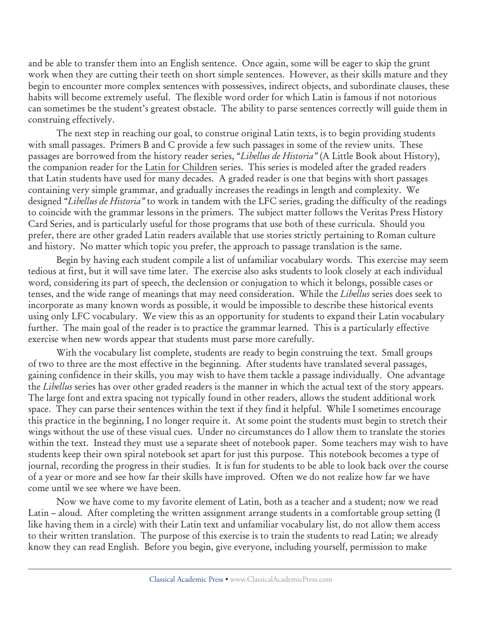and be able to transfer them into an English sentence. Once again, some will be eager to skip the grunt work when they are cutting their teeth on short simple sentences. However, as their skills mature and they begin to encounter more complex sentences with possessives, indirect objects, and subordinate clauses, these habits will become extremely useful. The flexible word order for which Latin is famous if not notorious can sometimes be the student's greatest obstacle. The ability to parse sentences correctly will guide them in construing effectively.

The next step in reaching our goal, to construe original Latin texts, is to begin providing students with small passages. Primers B and C provide a few such passages in some of the review units. These passages are borrowed from the history reader series, "*Libellus de Historia"* (A Little Book about History), the companion reader for the Latin for Children series. This series is modeled after the graded readers that Latin students have used for many decades. A graded reader is one that begins with short passages containing very simple grammar, and gradually increases the readings in length and complexity. We designed "*Libellus de Historia"* to work in tandem with the LFC series, grading the difficulty of the readings to coincide with the grammar lessons in the primers. The subject matter follows the Veritas Press History Card Series, and is particularly useful for those programs that use both of these curricula. Should you prefer, there are other graded Latin readers available that use stories strictly pertaining to Roman culture and history. No matter which topic you prefer, the approach to passage translation is the same.

Begin by having each student compile a list of unfamiliar vocabulary words. This exercise may seem tedious at first, but it will save time later. The exercise also asks students to look closely at each individual word, considering its part of speech, the declension or conjugation to which it belongs, possible cases or tenses, and the wide range of meanings that may need consideration. While the *Libellus* series does seek to incorporate as many known words as possible, it would be impossible to describe these historical events using only LFC vocabulary. We view this as an opportunity for students to expand their Latin vocabulary further. The main goal of the reader is to practice the grammar learned. This is a particularly effective exercise when new words appear that students must parse more carefully.

With the vocabulary list complete, students are ready to begin construing the text. Small groups of two to three are the most effective in the beginning. After students have translated several passages, gaining confidence in their skills, you may wish to have them tackle a passage individually. One advantage the *Libellus* series has over other graded readers is the manner in which the actual text of the story appears. The large font and extra spacing not typically found in other readers, allows the student additional work space. They can parse their sentences within the text if they find it helpful. While I sometimes encourage this practice in the beginning, I no longer require it. At some point the students must begin to stretch their wings without the use of these visual cues. Under no circumstances do I allow them to translate the stories within the text. Instead they must use a separate sheet of notebook paper. Some teachers may wish to have students keep their own spiral notebook set apart for just this purpose. This notebook becomes a type of journal, recording the progress in their studies. It is fun for students to be able to look back over the course of a year or more and see how far their skills have improved. Often we do not realize how far we have come until we see where we have been.

Now we have come to my favorite element of Latin, both as a teacher and a student; now we read Latin – aloud. After completing the written assignment arrange students in a comfortable group setting (I like having them in a circle) with their Latin text and unfamiliar vocabulary list, do not allow them access to their written translation. The purpose of this exercise is to train the students to read Latin; we already know they can read English. Before you begin, give everyone, including yourself, permission to make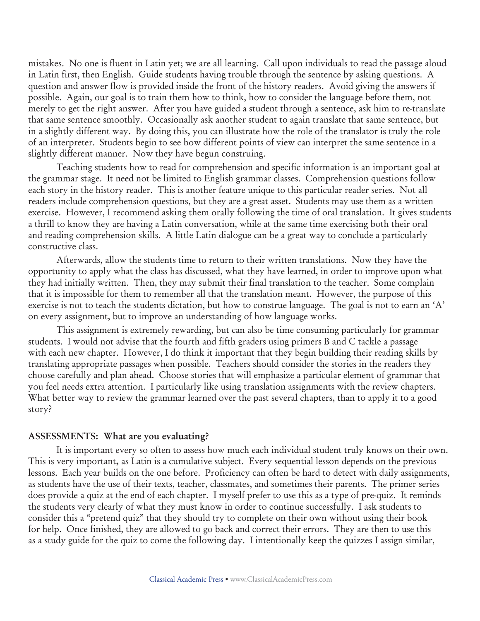mistakes. No one is fluent in Latin yet; we are all learning. Call upon individuals to read the passage aloud in Latin first, then English. Guide students having trouble through the sentence by asking questions. A question and answer flow is provided inside the front of the history readers. Avoid giving the answers if possible. Again, our goal is to train them how to think, how to consider the language before them, not merely to get the right answer. After you have guided a student through a sentence, ask him to re-translate that same sentence smoothly. Occasionally ask another student to again translate that same sentence, but in a slightly different way. By doing this, you can illustrate how the role of the translator is truly the role of an interpreter. Students begin to see how different points of view can interpret the same sentence in a slightly different manner. Now they have begun construing.

Teaching students how to read for comprehension and specific information is an important goal at the grammar stage. It need not be limited to English grammar classes. Comprehension questions follow each story in the history reader. This is another feature unique to this particular reader series. Not all readers include comprehension questions, but they are a great asset. Students may use them as a written exercise. However, I recommend asking them orally following the time of oral translation. It gives students a thrill to know they are having a Latin conversation, while at the same time exercising both their oral and reading comprehension skills. A little Latin dialogue can be a great way to conclude a particularly constructive class.

Afterwards, allow the students time to return to their written translations. Now they have the opportunity to apply what the class has discussed, what they have learned, in order to improve upon what they had initially written. Then, they may submit their final translation to the teacher. Some complain that it is impossible for them to remember all that the translation meant. However, the purpose of this exercise is not to teach the students dictation, but how to construe language. The goal is not to earn an 'A' on every assignment, but to improve an understanding of how language works.

This assignment is extremely rewarding, but can also be time consuming particularly for grammar students. I would not advise that the fourth and fifth graders using primers B and C tackle a passage with each new chapter. However, I do think it important that they begin building their reading skills by translating appropriate passages when possible. Teachers should consider the stories in the readers they choose carefully and plan ahead. Choose stories that will emphasize a particular element of grammar that you feel needs extra attention. I particularly like using translation assignments with the review chapters. What better way to review the grammar learned over the past several chapters, than to apply it to a good story?

#### **ASSESSMENTS: What are you evaluating?**

It is important every so often to assess how much each individual student truly knows on their own. This is very important**,** as Latin is a cumulative subject. Every sequential lesson depends on the previous lessons. Each year builds on the one before. Proficiency can often be hard to detect with daily assignments, as students have the use of their texts, teacher, classmates, and sometimes their parents. The primer series does provide a quiz at the end of each chapter. I myself prefer to use this as a type of pre-quiz. It reminds the students very clearly of what they must know in order to continue successfully. I ask students to consider this a "pretend quiz" that they should try to complete on their own without using their book for help. Once finished, they are allowed to go back and correct their errors. They are then to use this as a study guide for the quiz to come the following day. I intentionally keep the quizzes I assign similar,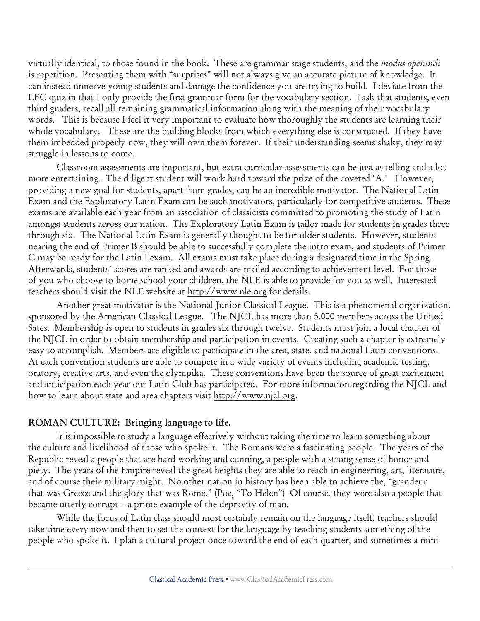virtually identical, to those found in the book. These are grammar stage students, and the *modus operandi* is repetition. Presenting them with "surprises" will not always give an accurate picture of knowledge. It can instead unnerve young students and damage the confidence you are trying to build. I deviate from the LFC quiz in that I only provide the first grammar form for the vocabulary section. I ask that students, even third graders, recall all remaining grammatical information along with the meaning of their vocabulary words. This is because I feel it very important to evaluate how thoroughly the students are learning their whole vocabulary. These are the building blocks from which everything else is constructed. If they have them imbedded properly now, they will own them forever. If their understanding seems shaky, they may struggle in lessons to come.

Classroom assessments are important, but extra-curricular assessments can be just as telling and a lot more entertaining. The diligent student will work hard toward the prize of the coveted 'A.' However, providing a new goal for students, apart from grades, can be an incredible motivator. The National Latin Exam and the Exploratory Latin Exam can be such motivators, particularly for competitive students. These exams are available each year from an association of classicists committed to promoting the study of Latin amongst students across our nation. The Exploratory Latin Exam is tailor made for students in grades three through six. The National Latin Exam is generally thought to be for older students. However, students nearing the end of Primer B should be able to successfully complete the intro exam, and students of Primer C may be ready for the Latin I exam. All exams must take place during a designated time in the Spring. Afterwards, students' scores are ranked and awards are mailed according to achievement level. For those of you who choose to home school your children, the NLE is able to provide for you as well. Interested teachers should visit the NLE website at http://www.nle.org for details.

Another great motivator is the National Junior Classical League. This is a phenomenal organization, sponsored by the American Classical League. The NJCL has more than 5,000 members across the United Sates. Membership is open to students in grades six through twelve. Students must join a local chapter of the NJCL in order to obtain membership and participation in events. Creating such a chapter is extremely easy to accomplish. Members are eligible to participate in the area, state, and national Latin conventions. At each convention students are able to compete in a wide variety of events including academic testing, oratory, creative arts, and even the olympika. These conventions have been the source of great excitement and anticipation each year our Latin Club has participated. For more information regarding the NJCL and how to learn about state and area chapters visit http://www.njcl.org.

#### **ROMAN CULTURE: Bringing language to life.**

It is impossible to study a language effectively without taking the time to learn something about the culture and livelihood of those who spoke it. The Romans were a fascinating people. The years of the Republic reveal a people that are hard working and cunning, a people with a strong sense of honor and piety. The years of the Empire reveal the great heights they are able to reach in engineering, art, literature, and of course their military might. No other nation in history has been able to achieve the, "grandeur that was Greece and the glory that was Rome." (Poe, "To Helen") Of course, they were also a people that became utterly corrupt – a prime example of the depravity of man.

While the focus of Latin class should most certainly remain on the language itself, teachers should take time every now and then to set the context for the language by teaching students something of the people who spoke it. I plan a cultural project once toward the end of each quarter, and sometimes a mini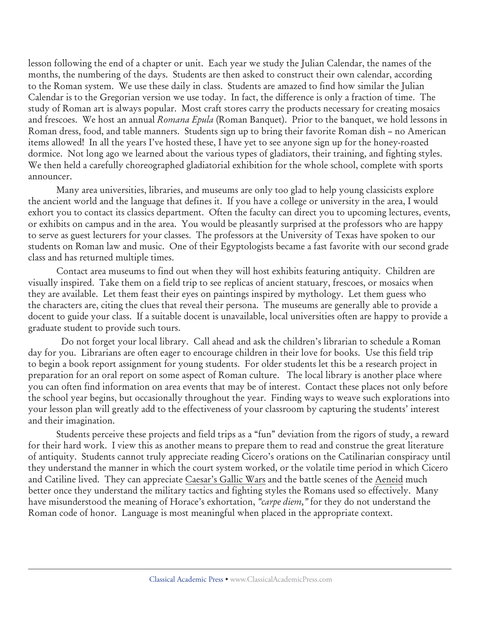lesson following the end of a chapter or unit. Each year we study the Julian Calendar, the names of the months, the numbering of the days. Students are then asked to construct their own calendar, according to the Roman system. We use these daily in class. Students are amazed to find how similar the Julian Calendar is to the Gregorian version we use today. In fact, the difference is only a fraction of time. The study of Roman art is always popular. Most craft stores carry the products necessary for creating mosaics and frescoes. We host an annual *Romana Epula* (Roman Banquet). Prior to the banquet, we hold lessons in Roman dress, food, and table manners. Students sign up to bring their favorite Roman dish – no American items allowed! In all the years I've hosted these, I have yet to see anyone sign up for the honey-roasted dormice. Not long ago we learned about the various types of gladiators, their training, and fighting styles. We then held a carefully choreographed gladiatorial exhibition for the whole school, complete with sports announcer.

Many area universities, libraries, and museums are only too glad to help young classicists explore the ancient world and the language that defines it. If you have a college or university in the area, I would exhort you to contact its classics department. Often the faculty can direct you to upcoming lectures, events, or exhibits on campus and in the area. You would be pleasantly surprised at the professors who are happy to serve as guest lecturers for your classes. The professors at the University of Texas have spoken to our students on Roman law and music. One of their Egyptologists became a fast favorite with our second grade class and has returned multiple times.

Contact area museums to find out when they will host exhibits featuring antiquity. Children are visually inspired. Take them on a field trip to see replicas of ancient statuary, frescoes, or mosaics when they are available. Let them feast their eyes on paintings inspired by mythology. Let them guess who the characters are, citing the clues that reveal their persona. The museums are generally able to provide a docent to guide your class. If a suitable docent is unavailable, local universities often are happy to provide a graduate student to provide such tours.

 Do not forget your local library. Call ahead and ask the children's librarian to schedule a Roman day for you. Librarians are often eager to encourage children in their love for books. Use this field trip to begin a book report assignment for young students. For older students let this be a research project in preparation for an oral report on some aspect of Roman culture. The local library is another place where you can often find information on area events that may be of interest. Contact these places not only before the school year begins, but occasionally throughout the year. Finding ways to weave such explorations into your lesson plan will greatly add to the effectiveness of your classroom by capturing the students' interest and their imagination.

Students perceive these projects and field trips as a "fun" deviation from the rigors of study, a reward for their hard work. I view this as another means to prepare them to read and construe the great literature of antiquity. Students cannot truly appreciate reading Cicero's orations on the Catilinarian conspiracy until they understand the manner in which the court system worked, or the volatile time period in which Cicero and Catiline lived. They can appreciate Caesar's Gallic Wars and the battle scenes of the Aeneid much better once they understand the military tactics and fighting styles the Romans used so effectively. Many have misunderstood the meaning of Horace's exhortation, *"carpe diem,"* for they do not understand the Roman code of honor. Language is most meaningful when placed in the appropriate context.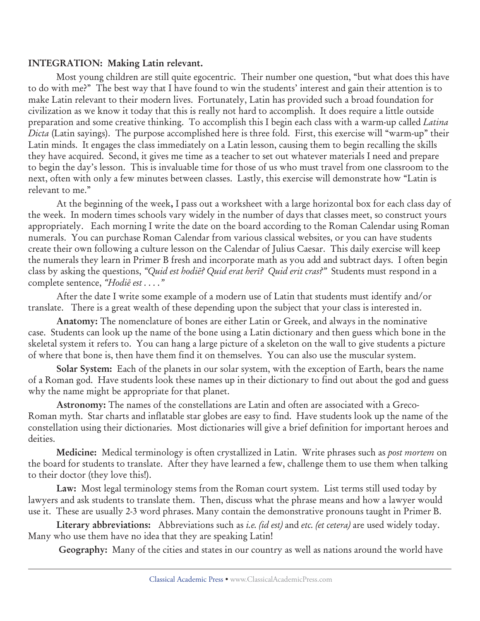#### **INTEGRATION: Making Latin relevant.**

Most young children are still quite egocentric. Their number one question, "but what does this have to do with me?" The best way that I have found to win the students' interest and gain their attention is to make Latin relevant to their modern lives. Fortunately, Latin has provided such a broad foundation for civilization as we know it today that this is really not hard to accomplish. It does require a little outside preparation and some creative thinking. To accomplish this I begin each class with a warm-up called *Latina Dicta* (Latin sayings). The purpose accomplished here is three fold. First, this exercise will "warm-up" their Latin minds. It engages the class immediately on a Latin lesson, causing them to begin recalling the skills they have acquired. Second, it gives me time as a teacher to set out whatever materials I need and prepare to begin the day's lesson. This is invaluable time for those of us who must travel from one classroom to the next, often with only a few minutes between classes. Lastly, this exercise will demonstrate how "Latin is relevant to me."

At the beginning of the week**,** I pass out a worksheet with a large horizontal box for each class day of the week. In modern times schools vary widely in the number of days that classes meet, so construct yours appropriately. Each morning I write the date on the board according to the Roman Calendar using Roman numerals. You can purchase Roman Calendar from various classical websites, or you can have students create their own following a culture lesson on the Calendar of Julius Caesar. This daily exercise will keep the numerals they learn in Primer B fresh and incorporate math as you add and subtract days. I often begin class by asking the questions, *"Quid est hodië? Quid erat herï? Quid erit cras?"* Students must respond in a complete sentence, *"Hodië est . . . ."*

After the date I write some example of a modern use of Latin that students must identify and/or translate. There is a great wealth of these depending upon the subject that your class is interested in.

**Anatomy:** The nomenclature of bones are either Latin or Greek, and always in the nominative case. Students can look up the name of the bone using a Latin dictionary and then guess which bone in the skeletal system it refers to. You can hang a large picture of a skeleton on the wall to give students a picture of where that bone is, then have them find it on themselves. You can also use the muscular system.

**Solar System:** Each of the planets in our solar system, with the exception of Earth, bears the name of a Roman god. Have students look these names up in their dictionary to find out about the god and guess why the name might be appropriate for that planet.

**Astronomy:** The names of the constellations are Latin and often are associated with a Greco-Roman myth. Star charts and inflatable star globes are easy to find. Have students look up the name of the constellation using their dictionaries. Most dictionaries will give a brief definition for important heroes and deities.

**Medicine:** Medical terminology is often crystallized in Latin. Write phrases such as *post mortem* on the board for students to translate. After they have learned a few, challenge them to use them when talking to their doctor (they love this!).

**Law:** Most legal terminology stems from the Roman court system. List terms still used today by lawyers and ask students to translate them. Then, discuss what the phrase means and how a lawyer would use it. These are usually 2-3 word phrases. Many contain the demonstrative pronouns taught in Primer B.

**Literary abbreviations:** Abbreviations such as *i.e. (id est)* and *etc. (et cetera)* are used widely today. Many who use them have no idea that they are speaking Latin!

**Geography:** Many of the cities and states in our country as well as nations around the world have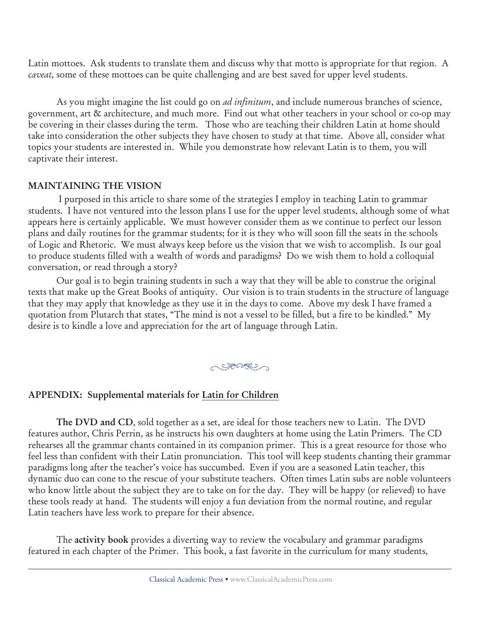Latin mottoes. Ask students to translate them and discuss why that motto is appropriate for that region. A *caveat,* some of these mottoes can be quite challenging and are best saved for upper level students.

As you might imagine the list could go on *ad infinitum*, and include numerous branches of science, government, art & architecture, and much more. Find out what other teachers in your school or co-op may be covering in their classes during the term. Those who are teaching their children Latin at home should take into consideration the other subjects they have chosen to study at that time. Above all, consider what topics your students are interested in. While you demonstrate how relevant Latin is to them, you will captivate their interest.

## **MAINTAINING THE VISION**

 I purposed in this article to share some of the strategies I employ in teaching Latin to grammar students. I have not ventured into the lesson plans I use for the upper level students, although some of what appears here is certainly applicable. We must however consider them as we continue to perfect our lesson plans and daily routines for the grammar students; for it is they who will soon fill the seats in the schools of Logic and Rhetoric. We must always keep before us the vision that we wish to accomplish. Is our goal to produce students filled with a wealth of words and paradigms? Do we wish them to hold a colloquial conversation, or read through a story?

Our goal is to begin training students in such a way that they will be able to construe the original texts that make up the Great Books of antiquity. Our vision is to train students in the structure of language that they may apply that knowledge as they use it in the days to come. Above my desk I have framed a quotation from Plutarch that states, "The mind is not a vessel to be filled, but a fire to be kindled." My desire is to kindle a love and appreciation for the art of language through Latin.

<u>GROSCO J</u>

#### **APPENDIX: Supplemental materials for Latin for Children**

**The DVD and CD**, sold together as a set, are ideal for those teachers new to Latin. The DVD features author, Chris Perrin, as he instructs his own daughters at home using the Latin Primers. The CD rehearses all the grammar chants contained in its companion primer. This is a great resource for those who feel less than confident with their Latin pronunciation. This tool will keep students chanting their grammar paradigms long after the teacher's voice has succumbed. Even if you are a seasoned Latin teacher, this dynamic duo can cone to the rescue of your substitute teachers. Often times Latin subs are noble volunteers who know little about the subject they are to take on for the day. They will be happy (or relieved) to have these tools ready at hand. The students will enjoy a fun deviation from the normal routine, and regular Latin teachers have less work to prepare for their absence.

The **activity book** provides a diverting way to review the vocabulary and grammar paradigms featured in each chapter of the Primer. This book, a fast favorite in the curriculum for many students,